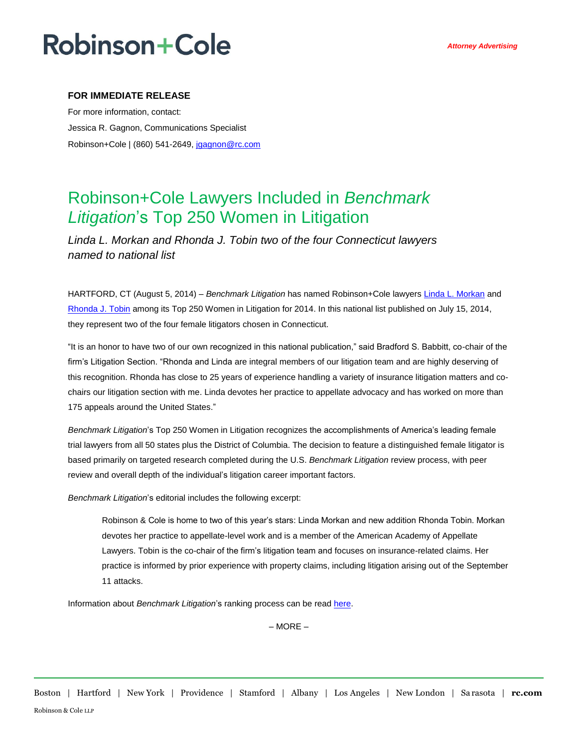# **Robinson+Cole**

### **FOR IMMEDIATE RELEASE**

For more information, contact: Jessica R. Gagnon, Communications Specialist Robinson+Cole | (860) 541-2649[, jgagnon@rc.com](mailto:jgagnon@rc.com)

### Robinson+Cole Lawyers Included in *Benchmark Litigation*'s Top 250 Women in Litigation

*Linda L. Morkan and Rhonda J. Tobin two of the four Connecticut lawyers named to national list*

HARTFORD, CT (August 5, 2014) – *Benchmark Litigation* has named Robinson+Cole lawyers [Linda L. Morkan](http://www.rc.com/people/LindaLMorkan.cfm) and [Rhonda J. Tobin](http://www.rc.com/people/RhondaJTobin.cfm) among its Top 250 Women in Litigation for 2014. In this national list published on July 15, 2014, they represent two of the four female litigators chosen in Connecticut.

"It is an honor to have two of our own recognized in this national publication," said Bradford S. Babbitt, co-chair of the firm's Litigation Section. "Rhonda and Linda are integral members of our litigation team and are highly deserving of this recognition. Rhonda has close to 25 years of experience handling a variety of insurance litigation matters and cochairs our litigation section with me. Linda devotes her practice to appellate advocacy and has worked on more than 175 appeals around the United States."

*Benchmark Litigation*'s Top 250 Women in Litigation recognizes the accomplishments of America's leading female trial lawyers from all 50 states plus the District of Columbia. The decision to feature a distinguished female litigator is based primarily on targeted research completed during the U.S. *Benchmark Litigation* review process, with peer review and overall depth of the individual's litigation career important factors.

*Benchmark Litigation*'s editorial includes the following excerpt:

Robinson & Cole is home to two of this year's stars: Linda Morkan and new addition Rhonda Tobin. Morkan devotes her practice to appellate-level work and is a member of the American Academy of Appellate Lawyers. Tobin is the co-chair of the firm's litigation team and focuses on insurance-related claims. Her practice is informed by prior experience with property claims, including litigation arising out of the September 11 attacks.

Information about *Benchmark Litigation*'s ranking process can be rea[d here.](https://www.benchmarklitigation.com/about-our-research-and-methodology/)

– MORE –

Boston | Hartford | New York | Providence | Stamford | Albany | Los Angeles | New London | Sa rasota | **rc.com** Robinson & Cole LLP